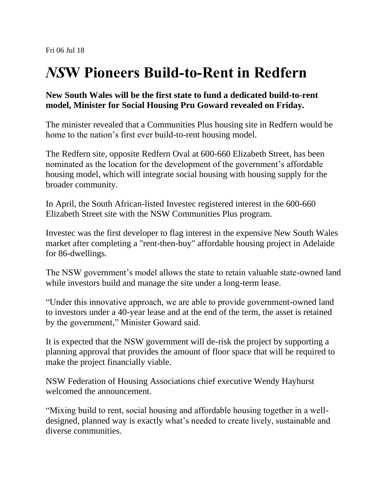## *NS***W Pioneers Build-to-Rent in Redfern**

## **New South Wales will be the first state to fund a dedicated build-to-rent model, Minister for Social Housing Pru Goward revealed on Friday.**

The minister revealed that a Communities Plus housing site in Redfern would be home to the nation's first ever build-to-rent housing model.

The Redfern site, opposite Redfern Oval at 600-660 Elizabeth Street, has been nominated as the location for the development of the government's affordable housing model, which will integrate social housing with housing supply for the broader community.

In April, the South African-listed Investec registered interest in the 600-660 Elizabeth Street site with the NSW Communities Plus program.

Investec was the first developer to flag interest in the expensive New South Wales market after completing a "rent-then-buy" affordable housing project in Adelaide for 86-dwellings.

The NSW government's model allows the state to retain valuable state-owned land while investors build and manage the site under a long-term lease.

"Under this innovative approach, we are able to provide government-owned land to investors under a 40-year lease and at the end of the term, the asset is retained by the government," Minister Goward said.

It is expected that the NSW government will de-risk the project by supporting a planning approval that provides the amount of floor space that will be required to make the project financially viable.

NSW Federation of Housing Associations chief executive Wendy Hayhurst welcomed the announcement.

"Mixing build to rent, social housing and affordable housing together in a welldesigned, planned way is exactly what's needed to create lively, sustainable and diverse communities.